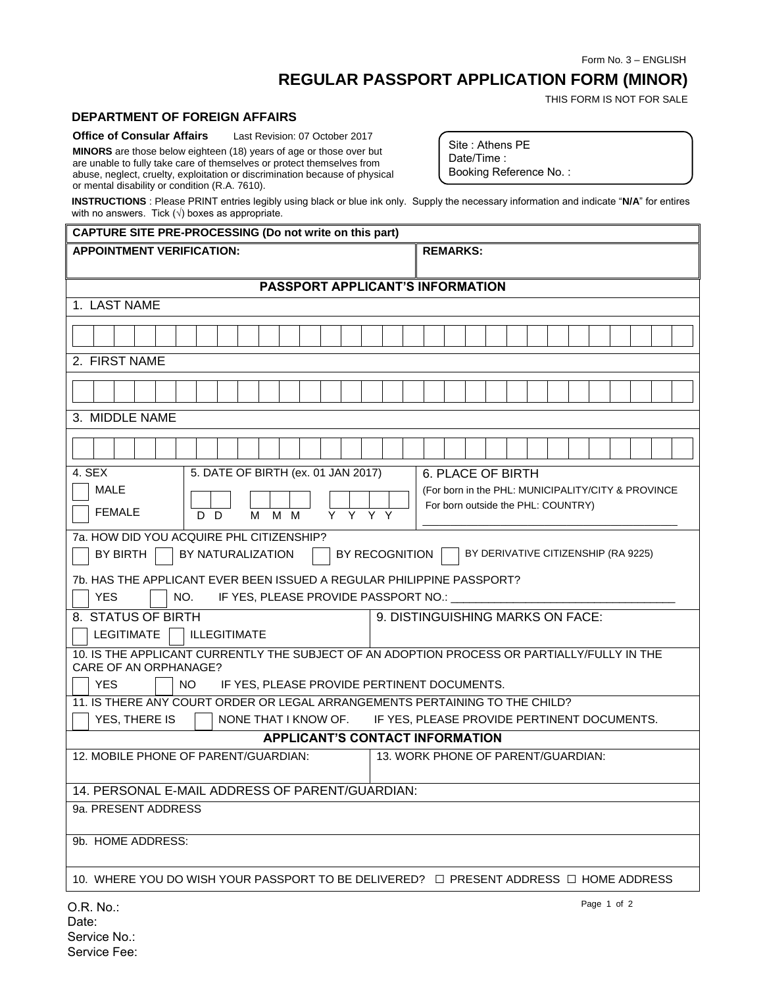Form No. 3 – ENGLISH

## **REGULAR PASSPORT APPLICATION FORM (MINOR)**

THIS FORM IS NOT FOR SALE

## **DEPARTMENT OF FOREIGN AFFAIRS**

**Office of Consular Affairs** Last Revision: 07 October 2017

**MINORS** are those below eighteen (18) years of age or those over but are unable to fully take care of themselves or protect themselves from abuse, neglect, cruelty, exploitation or discrimination because of physical or mental disability or condition (R.A. 7610).

Site : Athens PE Date/Time : Booking Reference No. :

**INSTRUCTIONS** : Please PRINT entries legibly using black or blue ink only. Supply the necessary information and indicate "**N/A**" for entires with no answers. Tick  $(\sqrt{})$  boxes as appropriate.

## **CAPTURE SITE PRE-PROCESSING (Do not write on this part) APPOINTMENT VERIFICATION: REMARKS: PASSPORT APPLICANT'S INFORMATION** 1. LAST NAME 2. FIRST NAME 3. MIDDLE NAME 4. SEX MALE FEMALE 5. DATE OF BIRTH (ex. 01 JAN 2017) D D M M M Y Y Y Y 6. PLACE OF BIRTH (For born in the PHL: MUNICIPALITY/CITY & PROVINCE For born outside the PHL: COUNTRY) \_\_\_\_\_\_\_\_\_\_\_\_\_\_\_\_\_\_\_\_\_\_\_\_\_\_\_\_\_\_\_\_\_\_\_\_\_\_\_\_\_\_\_\_\_\_ 7a. HOW DID YOU ACQUIRE PHL CITIZENSHIP? BY BIRTH BY NATURALIZATION BY RECOGNITION BY DERIVATIVE CITIZENSHIP (RA 9225) 7b. HAS THE APPLICANT EVER BEEN ISSUED A REGULAR PHILIPPINE PASSPORT? YES  $\Box$  NO. IF YES, PLEASE PROVIDE PASSPORT NO.: 8. STATUS OF BIRTH LEGITIMATE | | ILLEGITIMATE 9. DISTINGUISHING MARKS ON FACE: 10. IS THE APPLICANT CURRENTLY THE SUBJECT OF AN ADOPTION PROCESS OR PARTIALLY/FULLY IN THE CARE OF AN ORPHANAGE? YES NO IF YES, PLEASE PROVIDE PERTINENT DOCUMENTS. 11. IS THERE ANY COURT ORDER OR LEGAL ARRANGEMENTS PERTAINING TO THE CHILD? YES, THERE IS  $\parallel$  NONE THAT I KNOW OF. IF YES, PLEASE PROVIDE PERTINENT DOCUMENTS. **APPLICANT'S CONTACT INFORMATION** 12. MOBILE PHONE OF PARENT/GUARDIAN: 13. WORK PHONE OF PARENT/GUARDIAN: 14. PERSONAL E-MAIL ADDRESS OF PARENT/GUARDIAN: 9a. PRESENT ADDRESS 9b. HOME ADDRESS:

10. WHERE YOU DO WISH YOUR PASSPORT TO BE DELIVERED? □ PRESENT ADDRESS □ HOME ADDRESS